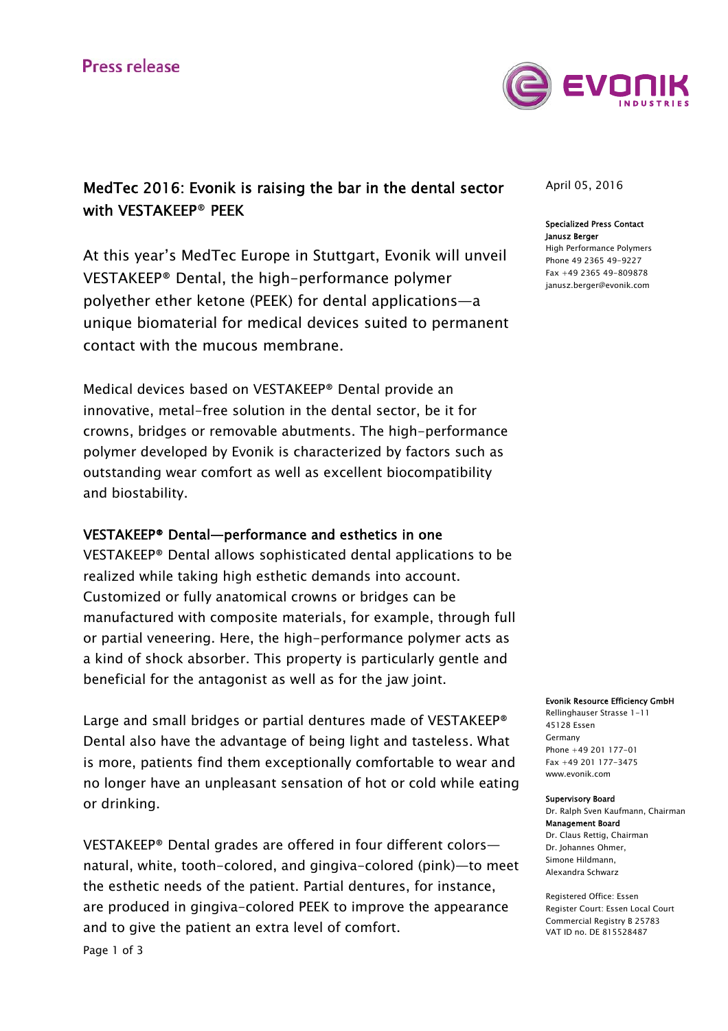

# MedTec 2016: Evonik is raising the bar in the dental sector with VESTAKEEP® PEEK

At this year's MedTec Europe in Stuttgart, Evonik will unveil VESTAKEEP® Dental, the high-performance polymer polyether ether ketone (PEEK) for dental applications—a unique biomaterial for medical devices suited to permanent contact with the mucous membrane.

Medical devices based on VESTAKEEP® Dental provide an innovative, metal-free solution in the dental sector, be it for crowns, bridges or removable abutments. The high-performance polymer developed by Evonik is characterized by factors such as outstanding wear comfort as well as excellent biocompatibility and biostability.

## VESTAKEEP® Dental—performance and esthetics in one

VESTAKEEP® Dental allows sophisticated dental applications to be realized while taking high esthetic demands into account. Customized or fully anatomical crowns or bridges can be manufactured with composite materials, for example, through full or partial veneering. Here, the high-performance polymer acts as a kind of shock absorber. This property is particularly gentle and beneficial for the antagonist as well as for the jaw joint.

Large and small bridges or partial dentures made of VESTAKEEP® Dental also have the advantage of being light and tasteless. What is more, patients find them exceptionally comfortable to wear and no longer have an unpleasant sensation of hot or cold while eating or drinking.

VESTAKEEP® Dental grades are offered in four different colors natural, white, tooth-colored, and gingiva-colored (pink)—to meet the esthetic needs of the patient. Partial dentures, for instance, are produced in gingiva-colored PEEK to improve the appearance and to give the patient an extra level of comfort.

## April 05, 2016

### Specialized Press Contact Janusz Berger

High Performance Polymers Phone 49 2365 49-9227 Fax +49 2365 49-809878 janusz.berger@evonik.com

#### Evonik Resource Efficiency GmbH

Rellinghauser Strasse 1-11 45128 Essen Germany Phone +49 201 177-01 Fax +49 201 177-3475 www.evonik.com

#### Supervisory Board

Dr. Ralph Sven Kaufmann, Chairman Management Board Dr. Claus Rettig, Chairman Dr. Johannes Ohmer, Simone Hildmann, Alexandra Schwarz

Registered Office: Essen Register Court: Essen Local Court Commercial Registry B 25783 VAT ID no. DE 815528487

Page 1 of 3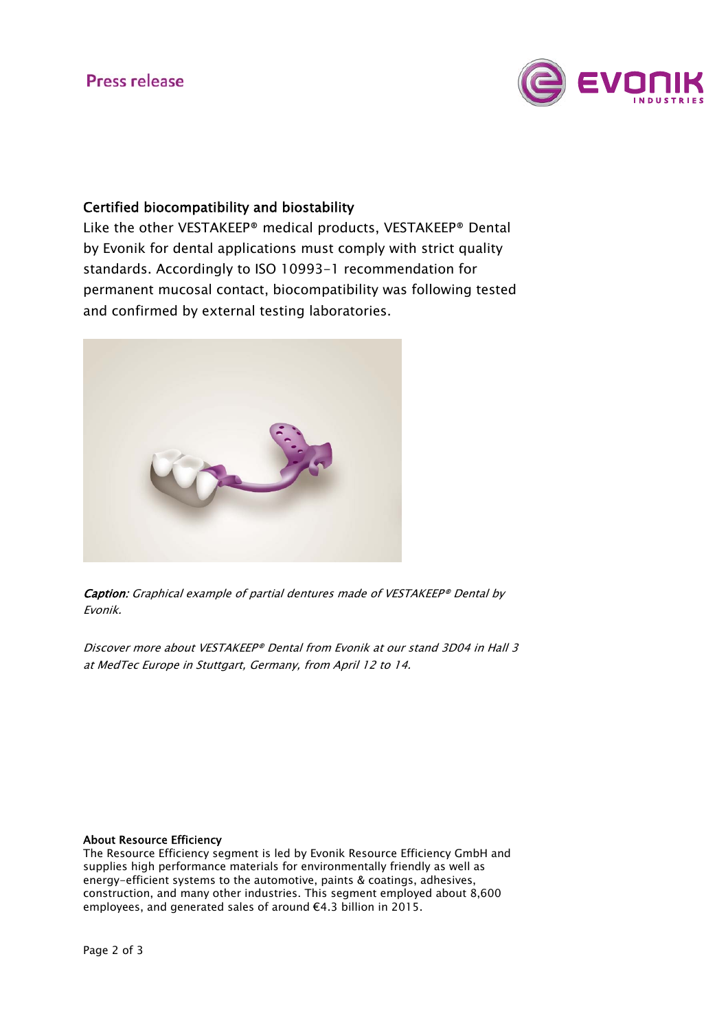# **Press release**



## Certified biocompatibility and biostability

Like the other VESTAKEEP® medical products, VESTAKEEP® Dental by Evonik for dental applications must comply with strict quality standards. Accordingly to ISO 10993-1 recommendation for permanent mucosal contact, biocompatibility was following tested and confirmed by external testing laboratories.



Caption: Graphical example of partial dentures made of VESTAKEEP® Dental by Evonik.

Discover more about VESTAKEEP® Dental from Evonik at our stand 3D04 in Hall 3 at MedTec Europe in Stuttgart, Germany, from April 12 to 14.

## About Resource Efficiency

The Resource Efficiency segment is led by Evonik Resource Efficiency GmbH and supplies high performance materials for environmentally friendly as well as energy-efficient systems to the automotive, paints & coatings, adhesives, construction, and many other industries. This segment employed about 8,600 employees, and generated sales of around €4.3 billion in 2015.